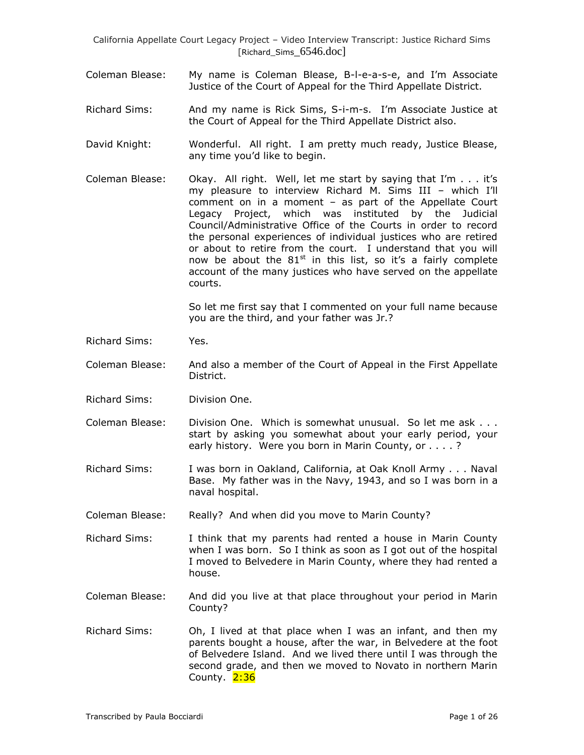- Coleman Blease: My name is Coleman Blease, B-l-e-a-s-e, and I'm Associate Justice of the Court of Appeal for the Third Appellate District.
- Richard Sims: And my name is Rick Sims, S-i-m-s. I'm Associate Justice at the Court of Appeal for the Third Appellate District also.
- David Knight: Wonderful. All right. I am pretty much ready, Justice Blease, any time you'd like to begin.
- Coleman Blease: Okay. All right. Well, let me start by saying that I'm . . . it's my pleasure to interview Richard M. Sims III – which I'll comment on in a moment – as part of the Appellate Court Legacy Project, which was instituted by the Judicial Council/Administrative Office of the Courts in order to record the personal experiences of individual justices who are retired or about to retire from the court. I understand that you will now be about the  $81<sup>st</sup>$  in this list, so it's a fairly complete account of the many justices who have served on the appellate courts.

So let me first say that I commented on your full name because you are the third, and your father was Jr.?

Richard Sims: Yes.

Coleman Blease: And also a member of the Court of Appeal in the First Appellate District.

- Richard Sims: Division One.
- Coleman Blease: Division One. Which is somewhat unusual. So let me ask . . . start by asking you somewhat about your early period, your early history. Were you born in Marin County, or . . . . ?
- Richard Sims: I was born in Oakland, California, at Oak Knoll Army . . . Naval Base. My father was in the Navy, 1943, and so I was born in a naval hospital.

Coleman Blease: Really? And when did you move to Marin County?

Richard Sims: I think that my parents had rented a house in Marin County when I was born. So I think as soon as I got out of the hospital I moved to Belvedere in Marin County, where they had rented a house.

- Coleman Blease: And did you live at that place throughout your period in Marin County?
- Richard Sims: Oh, I lived at that place when I was an infant, and then my parents bought a house, after the war, in Belvedere at the foot of Belvedere Island. And we lived there until I was through the second grade, and then we moved to Novato in northern Marin County. 2:36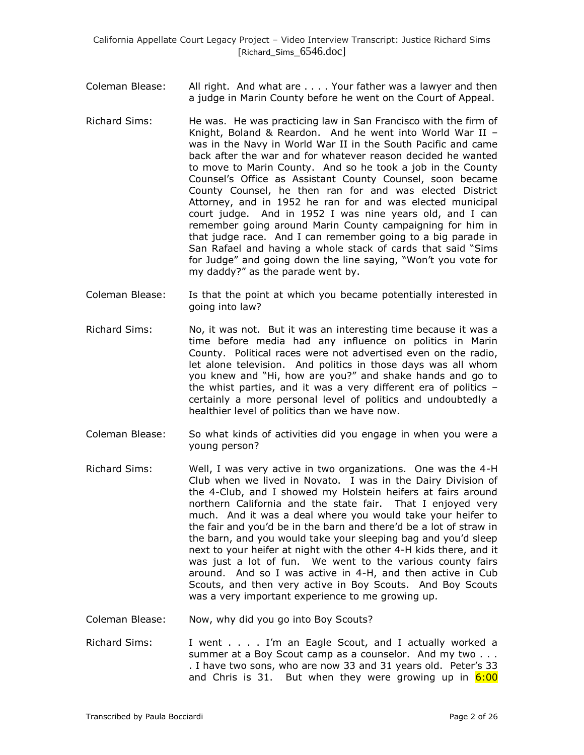- Coleman Blease: All right. And what are . . . . Your father was a lawyer and then a judge in Marin County before he went on the Court of Appeal.
- Richard Sims: He was. He was practicing law in San Francisco with the firm of Knight, Boland & Reardon. And he went into World War II – was in the Navy in World War II in the South Pacific and came back after the war and for whatever reason decided he wanted to move to Marin County. And so he took a job in the County Counsel's Office as Assistant County Counsel, soon became County Counsel, he then ran for and was elected District Attorney, and in 1952 he ran for and was elected municipal court judge. And in 1952 I was nine years old, and I can remember going around Marin County campaigning for him in that judge race. And I can remember going to a big parade in San Rafael and having a whole stack of cards that said "Sims for Judge" and going down the line saying, "Won't you vote for my daddy?" as the parade went by.
- Coleman Blease: Is that the point at which you became potentially interested in going into law?
- Richard Sims: No, it was not. But it was an interesting time because it was a time before media had any influence on politics in Marin County. Political races were not advertised even on the radio, let alone television. And politics in those days was all whom you knew and "Hi, how are you?" and shake hands and go to the whist parties, and it was a very different era of politics – certainly a more personal level of politics and undoubtedly a healthier level of politics than we have now.
- Coleman Blease: So what kinds of activities did you engage in when you were a young person?
- Richard Sims: Well, I was very active in two organizations. One was the 4-H Club when we lived in Novato. I was in the Dairy Division of the 4-Club, and I showed my Holstein heifers at fairs around northern California and the state fair. That I enjoyed very much. And it was a deal where you would take your heifer to the fair and you'd be in the barn and there'd be a lot of straw in the barn, and you would take your sleeping bag and you'd sleep next to your heifer at night with the other 4-H kids there, and it was just a lot of fun. We went to the various county fairs around. And so I was active in 4-H, and then active in Cub Scouts, and then very active in Boy Scouts. And Boy Scouts was a very important experience to me growing up.
- Coleman Blease: Now, why did you go into Boy Scouts?
- Richard Sims: I went . . . . I'm an Eagle Scout, and I actually worked a summer at a Boy Scout camp as a counselor. And my two . . . . I have two sons, who are now 33 and 31 years old. Peter's 33 and Chris is 31. But when they were growing up in  $6:00$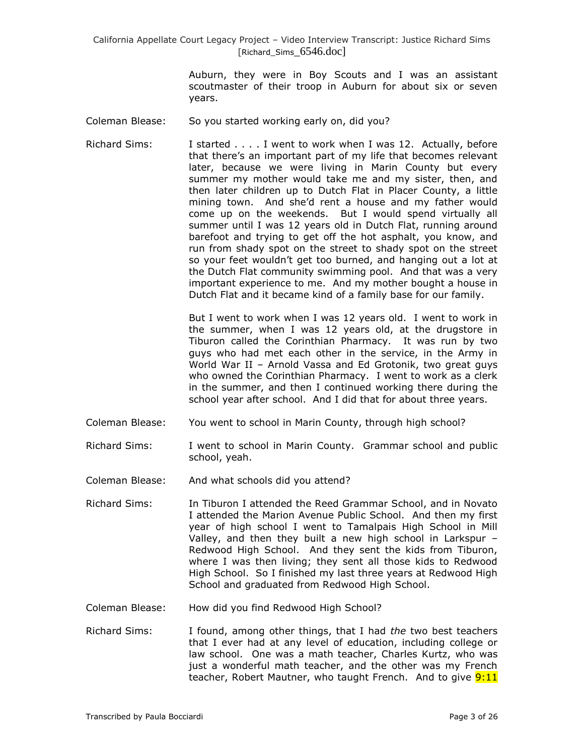> Auburn, they were in Boy Scouts and I was an assistant scoutmaster of their troop in Auburn for about six or seven years.

- Coleman Blease: So you started working early on, did you?
- Richard Sims: I started . . . . I went to work when I was 12. Actually, before that there's an important part of my life that becomes relevant later, because we were living in Marin County but every summer my mother would take me and my sister, then, and then later children up to Dutch Flat in Placer County, a little mining town. And she'd rent a house and my father would come up on the weekends. But I would spend virtually all summer until I was 12 years old in Dutch Flat, running around barefoot and trying to get off the hot asphalt, you know, and run from shady spot on the street to shady spot on the street so your feet wouldn't get too burned, and hanging out a lot at the Dutch Flat community swimming pool. And that was a very important experience to me. And my mother bought a house in Dutch Flat and it became kind of a family base for our family.

But I went to work when I was 12 years old. I went to work in the summer, when I was 12 years old, at the drugstore in Tiburon called the Corinthian Pharmacy. It was run by two guys who had met each other in the service, in the Army in World War II – Arnold Vassa and Ed Grotonik, two great guys who owned the Corinthian Pharmacy. I went to work as a clerk in the summer, and then I continued working there during the school year after school. And I did that for about three years.

- Coleman Blease: You went to school in Marin County, through high school?
- Richard Sims: I went to school in Marin County. Grammar school and public school, yeah.
- Coleman Blease: And what schools did you attend?
- Richard Sims: In Tiburon I attended the Reed Grammar School, and in Novato I attended the Marion Avenue Public School. And then my first year of high school I went to Tamalpais High School in Mill Valley, and then they built a new high school in Larkspur – Redwood High School. And they sent the kids from Tiburon, where I was then living; they sent all those kids to Redwood High School. So I finished my last three years at Redwood High School and graduated from Redwood High School.
- Coleman Blease: How did you find Redwood High School?
- Richard Sims: I found, among other things, that I had *the* two best teachers that I ever had at any level of education, including college or law school. One was a math teacher, Charles Kurtz, who was just a wonderful math teacher, and the other was my French teacher, Robert Mautner, who taught French. And to give **9:11**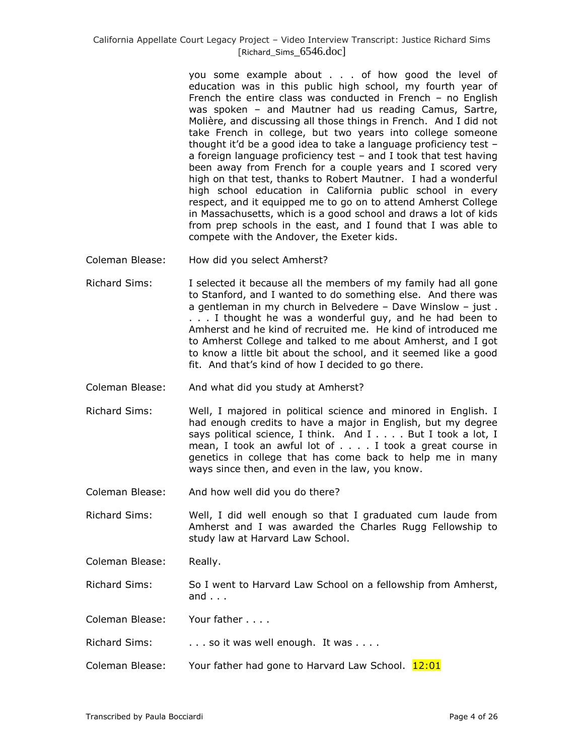you some example about . . . of how good the level of education was in this public high school, my fourth year of French the entire class was conducted in French – no English was spoken – and Mautner had us reading Camus, Sartre, Molière, and discussing all those things in French. And I did not take French in college, but two years into college someone thought it'd be a good idea to take a language proficiency test – a foreign language proficiency test – and I took that test having been away from French for a couple years and I scored very high on that test, thanks to Robert Mautner. I had a wonderful high school education in California public school in every respect, and it equipped me to go on to attend Amherst College in Massachusetts, which is a good school and draws a lot of kids from prep schools in the east, and I found that I was able to compete with the Andover, the Exeter kids.

- Coleman Blease: How did you select Amherst?
- Richard Sims: I selected it because all the members of my family had all gone to Stanford, and I wanted to do something else. And there was a gentleman in my church in Belvedere – Dave Winslow – just . . . . I thought he was a wonderful guy, and he had been to Amherst and he kind of recruited me. He kind of introduced me to Amherst College and talked to me about Amherst, and I got to know a little bit about the school, and it seemed like a good fit. And that's kind of how I decided to go there.
- Coleman Blease: And what did you study at Amherst?
- Richard Sims: Well, I majored in political science and minored in English. I had enough credits to have a major in English, but my degree says political science, I think. And I.... But I took a lot, I mean, I took an awful lot of . . . . I took a great course in genetics in college that has come back to help me in many ways since then, and even in the law, you know.
- Coleman Blease: And how well did you do there?

Richard Sims: Well, I did well enough so that I graduated cum laude from Amherst and I was awarded the Charles Rugg Fellowship to study law at Harvard Law School.

Coleman Blease: Really.

Richard Sims: So I went to Harvard Law School on a fellowship from Amherst, and . . .

Coleman Blease: Your father . . . .

- Richard Sims: . . . . . so it was well enough. It was . . . .
- Coleman Blease: Your father had gone to Harvard Law School. 12:01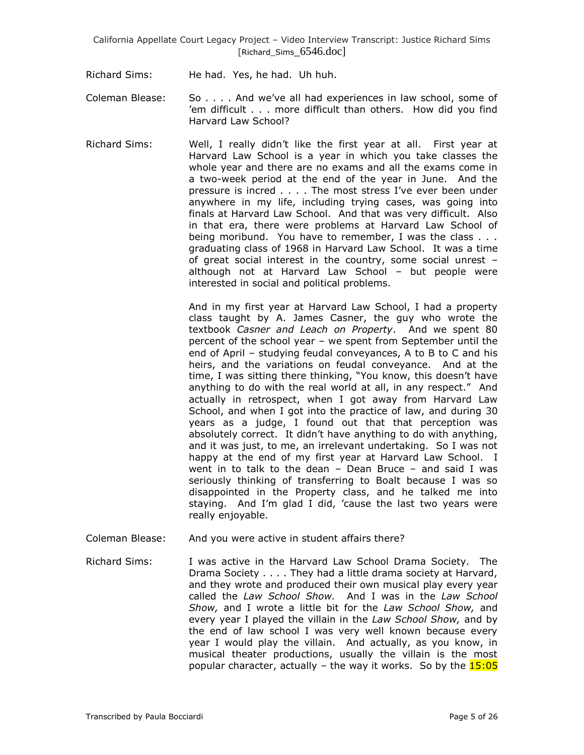- Richard Sims: He had. Yes, he had. Uh huh.
- Coleman Blease: So . . . . And we've all had experiences in law school, some of 'em difficult . . . more difficult than others. How did you find Harvard Law School?
- Richard Sims: Well, I really didn't like the first year at all. First year at Harvard Law School is a year in which you take classes the whole year and there are no exams and all the exams come in a two-week period at the end of the year in June. And the pressure is incred . . . . The most stress I've ever been under anywhere in my life, including trying cases, was going into finals at Harvard Law School. And that was very difficult. Also in that era, there were problems at Harvard Law School of being moribund. You have to remember, I was the class . . . graduating class of 1968 in Harvard Law School. It was a time of great social interest in the country, some social unrest – although not at Harvard Law School – but people were interested in social and political problems.

And in my first year at Harvard Law School, I had a property class taught by A. James Casner, the guy who wrote the textbook *Casner and Leach on Property*. And we spent 80 percent of the school year – we spent from September until the end of April – studying feudal conveyances, A to B to C and his heirs, and the variations on feudal conveyance. And at the time, I was sitting there thinking, "You know, this doesn't have anything to do with the real world at all, in any respect." And actually in retrospect, when I got away from Harvard Law School, and when I got into the practice of law, and during 30 years as a judge, I found out that that perception was absolutely correct. It didn't have anything to do with anything, and it was just, to me, an irrelevant undertaking. So I was not happy at the end of my first year at Harvard Law School. I went in to talk to the dean – Dean Bruce – and said I was seriously thinking of transferring to Boalt because I was so disappointed in the Property class, and he talked me into staying. And I'm glad I did, 'cause the last two years were really enjoyable.

Coleman Blease: And you were active in student affairs there?

Richard Sims: I was active in the Harvard Law School Drama Society. The Drama Society . . . . They had a little drama society at Harvard, and they wrote and produced their own musical play every year called the *Law School Show.* And I was in the *Law School Show,* and I wrote a little bit for the *Law School Show,* and every year I played the villain in the *Law School Show,* and by the end of law school I was very well known because every year I would play the villain. And actually, as you know, in musical theater productions, usually the villain is the most popular character, actually – the way it works. So by the  $15:05$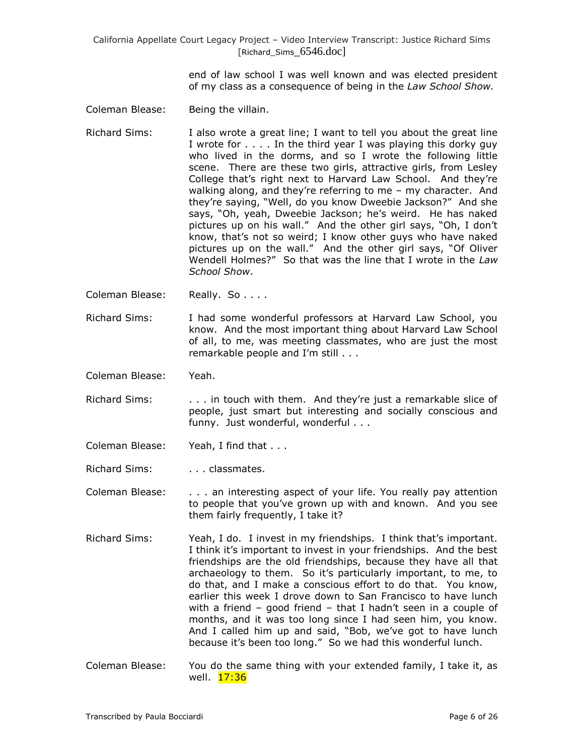> end of law school I was well known and was elected president of my class as a consequence of being in the *Law School Show.*

- Coleman Blease: Being the villain.
- Richard Sims: I also wrote a great line; I want to tell you about the great line I wrote for . . . . In the third year I was playing this dorky guy who lived in the dorms, and so I wrote the following little scene. There are these two girls, attractive girls, from Lesley College that's right next to Harvard Law School. And they're walking along, and they're referring to me – my character. And they're saying, "Well, do you know Dweebie Jackson?" And she says, "Oh, yeah, Dweebie Jackson; he's weird. He has naked pictures up on his wall." And the other girl says, "Oh, I don't know, that's not so weird; I know other guys who have naked pictures up on the wall." And the other girl says, "Of Oliver Wendell Holmes?" So that was the line that I wrote in the *Law School Show*.
- Coleman Blease: Really. So . . . .
- Richard Sims: I had some wonderful professors at Harvard Law School, you know. And the most important thing about Harvard Law School of all, to me, was meeting classmates, who are just the most remarkable people and I'm still . . .
- Coleman Blease: Yeah.
- Richard Sims: . . . . . in touch with them. And they're just a remarkable slice of people, just smart but interesting and socially conscious and funny. Just wonderful, wonderful . . .
- Coleman Blease: Yeah, I find that . . .
- Richard Sims: . . . . . . classmates.
- Coleman Blease: . . . an interesting aspect of your life. You really pay attention to people that you've grown up with and known. And you see them fairly frequently, I take it?
- Richard Sims: Yeah, I do. I invest in my friendships. I think that's important. I think it's important to invest in your friendships. And the best friendships are the old friendships, because they have all that archaeology to them. So it's particularly important, to me, to do that, and I make a conscious effort to do that. You know, earlier this week I drove down to San Francisco to have lunch with a friend – good friend – that I hadn't seen in a couple of months, and it was too long since I had seen him, you know. And I called him up and said, "Bob, we've got to have lunch because it's been too long." So we had this wonderful lunch.
- Coleman Blease: You do the same thing with your extended family, I take it, as well. <mark>17:36</mark>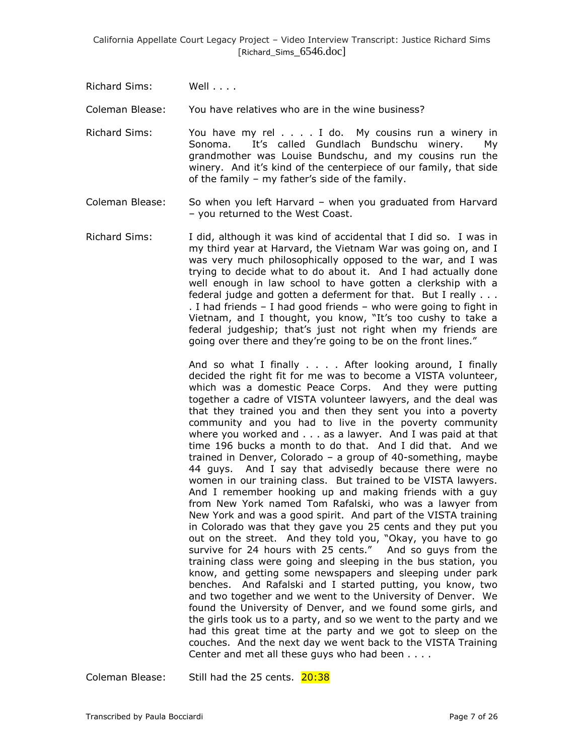Richard Sims: Well . . . .

Coleman Blease: You have relatives who are in the wine business?

- Richard Sims: You have my rel . . . . I do. My cousins run a winery in Sonoma. It's called Gundlach Bundschu winery. My grandmother was Louise Bundschu, and my cousins run the winery. And it's kind of the centerpiece of our family, that side of the family – my father's side of the family.
- Coleman Blease: So when you left Harvard when you graduated from Harvard – you returned to the West Coast.
- Richard Sims: I did, although it was kind of accidental that I did so. I was in my third year at Harvard, the Vietnam War was going on, and I was very much philosophically opposed to the war, and I was trying to decide what to do about it. And I had actually done well enough in law school to have gotten a clerkship with a federal judge and gotten a deferment for that. But I really . . . . I had friends – I had good friends – who were going to fight in Vietnam, and I thought, you know, "It's too cushy to take a federal judgeship; that's just not right when my friends are going over there and they're going to be on the front lines."

And so what I finally . . . . After looking around, I finally decided the right fit for me was to become a VISTA volunteer, which was a domestic Peace Corps. And they were putting together a cadre of VISTA volunteer lawyers, and the deal was that they trained you and then they sent you into a poverty community and you had to live in the poverty community where you worked and . . . as a lawyer. And I was paid at that time 196 bucks a month to do that. And I did that. And we trained in Denver, Colorado – a group of 40-something, maybe 44 guys. And I say that advisedly because there were no women in our training class. But trained to be VISTA lawyers. And I remember hooking up and making friends with a guy from New York named Tom Rafalski, who was a lawyer from New York and was a good spirit. And part of the VISTA training in Colorado was that they gave you 25 cents and they put you out on the street. And they told you, "Okay, you have to go survive for 24 hours with 25 cents." And so guys from the training class were going and sleeping in the bus station, you know, and getting some newspapers and sleeping under park benches. And Rafalski and I started putting, you know, two and two together and we went to the University of Denver. We found the University of Denver, and we found some girls, and the girls took us to a party, and so we went to the party and we had this great time at the party and we got to sleep on the couches. And the next day we went back to the VISTA Training Center and met all these guys who had been . . . .

Coleman Blease: Still had the 25 cents. 20:38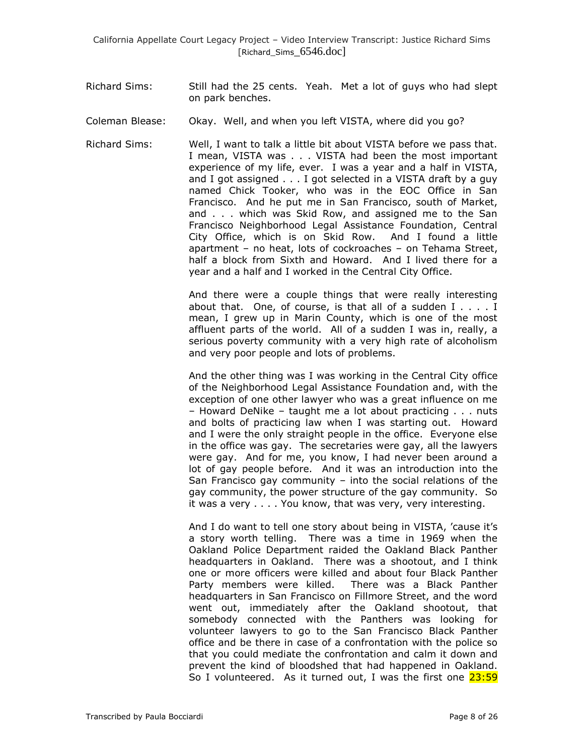- Richard Sims: Still had the 25 cents. Yeah. Met a lot of guys who had slept on park benches.
- Coleman Blease: Okay. Well, and when you left VISTA, where did you go?
- Richard Sims: Well, I want to talk a little bit about VISTA before we pass that. I mean, VISTA was . . . VISTA had been the most important experience of my life, ever. I was a year and a half in VISTA, and I got assigned . . . I got selected in a VISTA draft by a guy named Chick Tooker, who was in the EOC Office in San Francisco. And he put me in San Francisco, south of Market, and . . . which was Skid Row, and assigned me to the San Francisco Neighborhood Legal Assistance Foundation, Central City Office, which is on Skid Row. And I found a little apartment – no heat, lots of cockroaches – on Tehama Street, half a block from Sixth and Howard. And I lived there for a year and a half and I worked in the Central City Office.

And there were a couple things that were really interesting about that. One, of course, is that all of a sudden I . . . . I mean, I grew up in Marin County, which is one of the most affluent parts of the world. All of a sudden I was in, really, a serious poverty community with a very high rate of alcoholism and very poor people and lots of problems.

And the other thing was I was working in the Central City office of the Neighborhood Legal Assistance Foundation and, with the exception of one other lawyer who was a great influence on me – Howard DeNike – taught me a lot about practicing . . . nuts and bolts of practicing law when I was starting out. Howard and I were the only straight people in the office. Everyone else in the office was gay. The secretaries were gay, all the lawyers were gay. And for me, you know, I had never been around a lot of gay people before. And it was an introduction into the San Francisco gay community – into the social relations of the gay community, the power structure of the gay community. So it was a very . . . . You know, that was very, very interesting.

And I do want to tell one story about being in VISTA, 'cause it's a story worth telling. There was a time in 1969 when the Oakland Police Department raided the Oakland Black Panther headquarters in Oakland. There was a shootout, and I think one or more officers were killed and about four Black Panther Party members were killed. There was a Black Panther headquarters in San Francisco on Fillmore Street, and the word went out, immediately after the Oakland shootout, that somebody connected with the Panthers was looking for volunteer lawyers to go to the San Francisco Black Panther office and be there in case of a confrontation with the police so that you could mediate the confrontation and calm it down and prevent the kind of bloodshed that had happened in Oakland. So I volunteered. As it turned out, I was the first one 23:59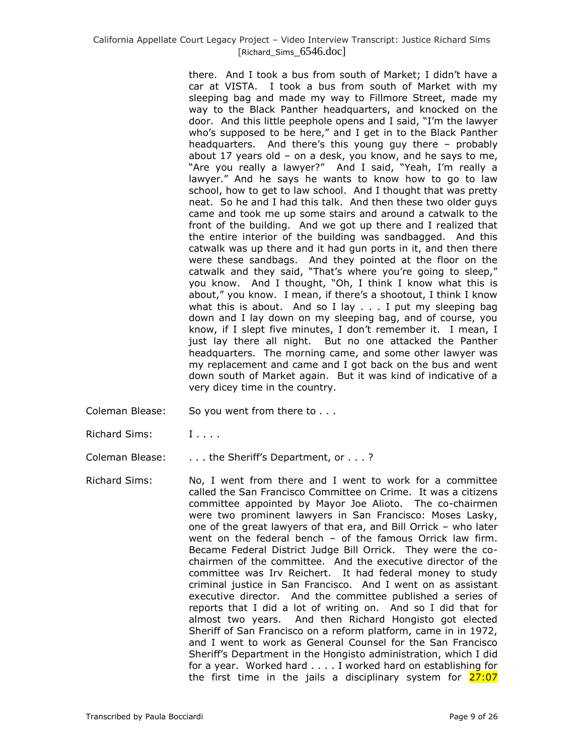there. And I took a bus from south of Market; I didn't have a car at VISTA. I took a bus from south of Market with my sleeping bag and made my way to Fillmore Street, made my way to the Black Panther headquarters, and knocked on the door. And this little peephole opens and I said, "I'm the lawyer who's supposed to be here," and I get in to the Black Panther headquarters. And there's this young guy there – probably about 17 years old – on a desk, you know, and he says to me, "Are you really a lawyer?" And I said, "Yeah, I'm really a lawyer." And he says he wants to know how to go to law school, how to get to law school. And I thought that was pretty neat. So he and I had this talk. And then these two older guys came and took me up some stairs and around a catwalk to the front of the building. And we got up there and I realized that the entire interior of the building was sandbagged. And this catwalk was up there and it had gun ports in it, and then there were these sandbags. And they pointed at the floor on the catwalk and they said, "That's where you're going to sleep," you know. And I thought, "Oh, I think I know what this is about," you know. I mean, if there's a shootout, I think I know what this is about. And so I lay  $\ldots$  I put my sleeping bag down and I lay down on my sleeping bag, and of course, you know, if I slept five minutes, I don't remember it. I mean, I just lay there all night. But no one attacked the Panther headquarters. The morning came, and some other lawyer was my replacement and came and I got back on the bus and went down south of Market again. But it was kind of indicative of a very dicey time in the country.

- Coleman Blease: So you went from there to . . .
- Richard Sims: I....
- Coleman Blease: . . . . the Sheriff's Department, or . . . ?
- Richard Sims: No, I went from there and I went to work for a committee called the San Francisco Committee on Crime. It was a citizens committee appointed by Mayor Joe Alioto. The co-chairmen were two prominent lawyers in San Francisco: Moses Lasky, one of the great lawyers of that era, and Bill Orrick – who later went on the federal bench – of the famous Orrick law firm. Became Federal District Judge Bill Orrick. They were the cochairmen of the committee. And the executive director of the committee was Irv Reichert. It had federal money to study criminal justice in San Francisco. And I went on as assistant executive director. And the committee published a series of reports that I did a lot of writing on. And so I did that for almost two years. And then Richard Hongisto got elected Sheriff of San Francisco on a reform platform, came in in 1972, and I went to work as General Counsel for the San Francisco Sheriff's Department in the Hongisto administration, which I did for a year. Worked hard . . . . I worked hard on establishing for the first time in the jails a disciplinary system for 27:07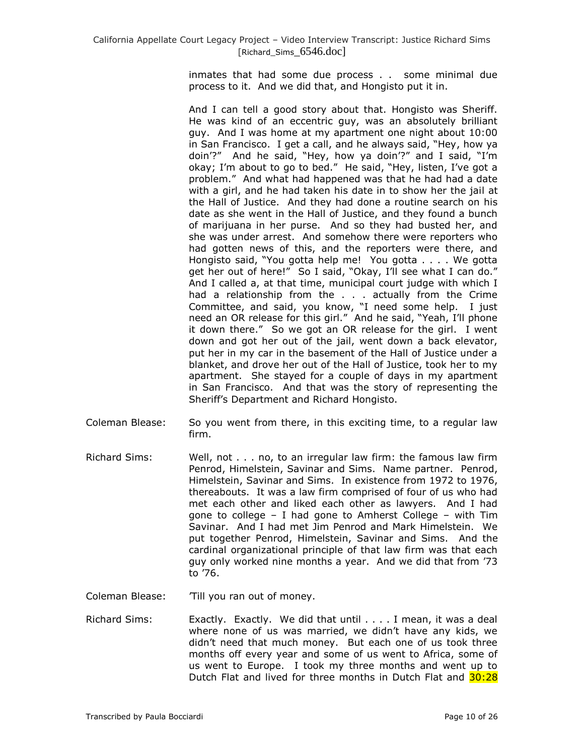inmates that had some due process . . some minimal due process to it. And we did that, and Hongisto put it in.

And I can tell a good story about that. Hongisto was Sheriff. He was kind of an eccentric guy, was an absolutely brilliant guy. And I was home at my apartment one night about 10:00 in San Francisco. I get a call, and he always said, "Hey, how ya doin'?" And he said, "Hey, how ya doin'?" and I said, "I'm okay; I'm about to go to bed." He said, "Hey, listen, I've got a problem." And what had happened was that he had had a date with a girl, and he had taken his date in to show her the jail at the Hall of Justice. And they had done a routine search on his date as she went in the Hall of Justice, and they found a bunch of marijuana in her purse. And so they had busted her, and she was under arrest. And somehow there were reporters who had gotten news of this, and the reporters were there, and Hongisto said, "You gotta help me! You gotta . . . . We gotta get her out of here!" So I said, "Okay, I'll see what I can do." And I called a, at that time, municipal court judge with which I had a relationship from the . . . actually from the Crime Committee, and said, you know, "I need some help. I just need an OR release for this girl." And he said, "Yeah, I'll phone it down there." So we got an OR release for the girl. I went down and got her out of the jail, went down a back elevator, put her in my car in the basement of the Hall of Justice under a blanket, and drove her out of the Hall of Justice, took her to my apartment. She stayed for a couple of days in my apartment in San Francisco. And that was the story of representing the Sheriff's Department and Richard Hongisto.

- Coleman Blease: So you went from there, in this exciting time, to a regular law firm.
- Richard Sims: Well, not . . . no, to an irregular law firm: the famous law firm Penrod, Himelstein, Savinar and Sims. Name partner. Penrod, Himelstein, Savinar and Sims. In existence from 1972 to 1976, thereabouts. It was a law firm comprised of four of us who had met each other and liked each other as lawyers. And I had gone to college – I had gone to Amherst College – with Tim Savinar. And I had met Jim Penrod and Mark Himelstein. We put together Penrod, Himelstein, Savinar and Sims. And the cardinal organizational principle of that law firm was that each guy only worked nine months a year. And we did that from '73 to '76.
- Coleman Blease: Till you ran out of money.
- Richard Sims: Exactly. Exactly. We did that until . . . . I mean, it was a deal where none of us was married, we didn't have any kids, we didn't need that much money. But each one of us took three months off every year and some of us went to Africa, some of us went to Europe. I took my three months and went up to Dutch Flat and lived for three months in Dutch Flat and 30:28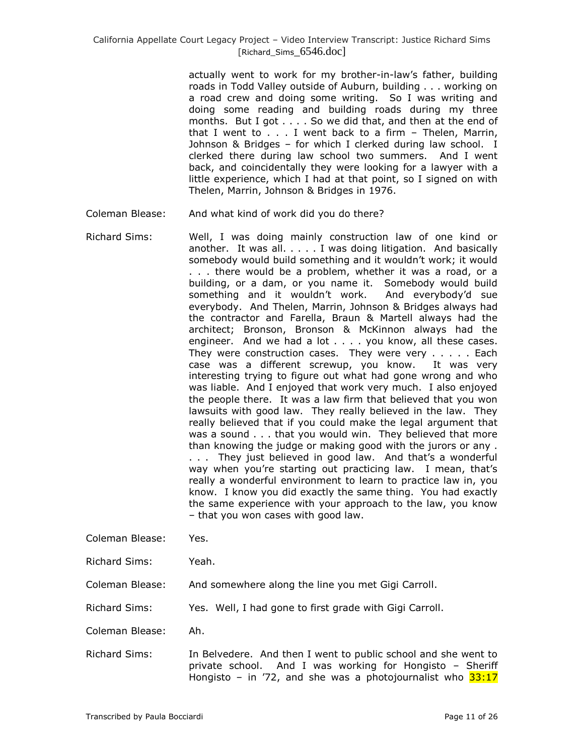actually went to work for my brother-in-law's father, building roads in Todd Valley outside of Auburn, building . . . working on a road crew and doing some writing. So I was writing and doing some reading and building roads during my three months. But I got . . . . So we did that, and then at the end of that I went to . . . I went back to a firm – Thelen, Marrin, Johnson & Bridges – for which I clerked during law school. I clerked there during law school two summers. And I went back, and coincidentally they were looking for a lawyer with a little experience, which I had at that point, so I signed on with Thelen, Marrin, Johnson & Bridges in 1976.

- Coleman Blease: And what kind of work did you do there?
- Richard Sims: Well, I was doing mainly construction law of one kind or another. It was all. . . . . I was doing litigation. And basically somebody would build something and it wouldn't work; it would . . . there would be a problem, whether it was a road, or a building, or a dam, or you name it. Somebody would build something and it wouldn't work. And everybody'd sue everybody. And Thelen, Marrin, Johnson & Bridges always had the contractor and Farella, Braun & Martell always had the architect; Bronson, Bronson & McKinnon always had the engineer. And we had a lot . . . . you know, all these cases. They were construction cases. They were very . . . . . Each case was a different screwup, you know. It was very interesting trying to figure out what had gone wrong and who was liable. And I enjoyed that work very much. I also enjoyed the people there. It was a law firm that believed that you won lawsuits with good law. They really believed in the law. They really believed that if you could make the legal argument that was a sound . . . that you would win. They believed that more than knowing the judge or making good with the jurors or any . . . . They just believed in good law. And that's a wonderful way when you're starting out practicing law. I mean, that's really a wonderful environment to learn to practice law in, you know. I know you did exactly the same thing. You had exactly the same experience with your approach to the law, you know – that you won cases with good law.
- Coleman Blease: Yes.
- Richard Sims: Yeah.
- Coleman Blease: And somewhere along the line you met Gigi Carroll.
- Richard Sims: Yes. Well, I had gone to first grade with Gigi Carroll.
- Coleman Blease: Ah.
- Richard Sims: In Belvedere. And then I went to public school and she went to private school. And I was working for Hongisto – Sheriff Hongisto – in  $72$ , and she was a photojournalist who  $33:17$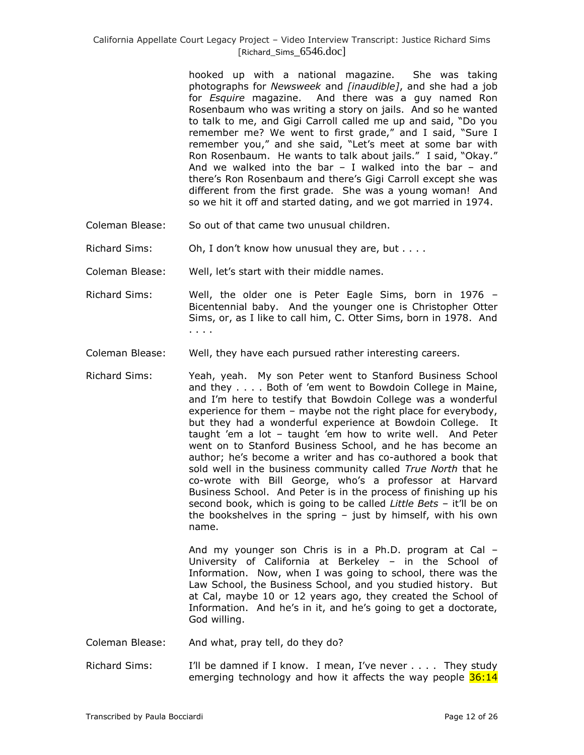hooked up with a national magazine. She was taking photographs for *Newsweek* and *[inaudible]*, and she had a job for *Esquire* magazine. And there was a guy named Ron Rosenbaum who was writing a story on jails. And so he wanted to talk to me, and Gigi Carroll called me up and said, "Do you remember me? We went to first grade," and I said, "Sure I remember you," and she said, "Let's meet at some bar with Ron Rosenbaum. He wants to talk about jails." I said, "Okay." And we walked into the bar  $-$  I walked into the bar  $-$  and there's Ron Rosenbaum and there's Gigi Carroll except she was different from the first grade. She was a young woman! And so we hit it off and started dating, and we got married in 1974.

- Coleman Blease: So out of that came two unusual children.
- Richard Sims: Oh, I don't know how unusual they are, but . . . .

Coleman Blease: Well, let's start with their middle names.

- Richard Sims: Well, the older one is Peter Eagle Sims, born in 1976 Bicentennial baby. And the younger one is Christopher Otter Sims, or, as I like to call him, C. Otter Sims, born in 1978. And . . . .
- Coleman Blease: Well, they have each pursued rather interesting careers.
- Richard Sims: Yeah, yeah. My son Peter went to Stanford Business School and they . . . . Both of 'em went to Bowdoin College in Maine, and I'm here to testify that Bowdoin College was a wonderful experience for them – maybe not the right place for everybody, but they had a wonderful experience at Bowdoin College. It taught 'em a lot – taught 'em how to write well. And Peter went on to Stanford Business School, and he has become an author; he's become a writer and has co-authored a book that sold well in the business community called *True North* that he co-wrote with Bill George, who's a professor at Harvard Business School. And Peter is in the process of finishing up his second book, which is going to be called *Little Bets* – it'll be on the bookshelves in the spring – just by himself, with his own name.

And my younger son Chris is in a Ph.D. program at Cal – University of California at Berkeley – in the School of Information. Now, when I was going to school, there was the Law School, the Business School, and you studied history. But at Cal, maybe 10 or 12 years ago, they created the School of Information. And he's in it, and he's going to get a doctorate, God willing.

- Coleman Blease: And what, pray tell, do they do?
- Richard Sims: I'll be damned if I know. I mean, I've never . . . . They study emerging technology and how it affects the way people  $36:14$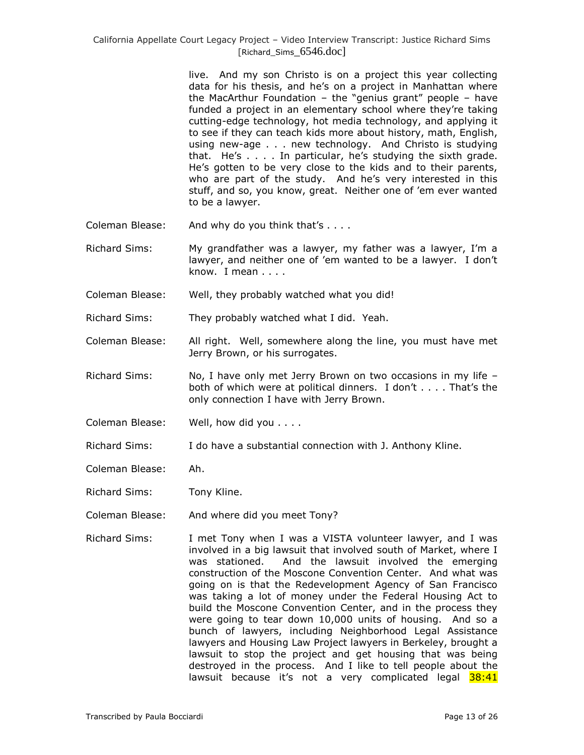live. And my son Christo is on a project this year collecting data for his thesis, and he's on a project in Manhattan where the MacArthur Foundation – the "genius grant" people – have funded a project in an elementary school where they're taking cutting-edge technology, hot media technology, and applying it to see if they can teach kids more about history, math, English, using new-age . . . new technology. And Christo is studying that. He's . . . . In particular, he's studying the sixth grade. He's gotten to be very close to the kids and to their parents, who are part of the study. And he's very interested in this stuff, and so, you know, great. Neither one of 'em ever wanted to be a lawyer.

- Coleman Blease: And why do you think that's . . . .
- Richard Sims: My grandfather was a lawyer, my father was a lawyer, I'm a lawyer, and neither one of 'em wanted to be a lawyer. I don't know. I mean . . . .
- Coleman Blease: Well, they probably watched what you did!
- Richard Sims: They probably watched what I did. Yeah.
- Coleman Blease: All right. Well, somewhere along the line, you must have met Jerry Brown, or his surrogates.
- Richard Sims: No, I have only met Jerry Brown on two occasions in my life both of which were at political dinners. I don't . . . . That's the only connection I have with Jerry Brown.
- Coleman Blease: Well, how did you . . . .
- Richard Sims: I do have a substantial connection with J. Anthony Kline.
- Coleman Blease: Ah.
- Richard Sims: Tony Kline.
- Coleman Blease: And where did you meet Tony?
- Richard Sims: I met Tony when I was a VISTA volunteer lawyer, and I was involved in a big lawsuit that involved south of Market, where I was stationed. And the lawsuit involved the emerging construction of the Moscone Convention Center. And what was going on is that the Redevelopment Agency of San Francisco was taking a lot of money under the Federal Housing Act to build the Moscone Convention Center, and in the process they were going to tear down 10,000 units of housing. And so a bunch of lawyers, including Neighborhood Legal Assistance lawyers and Housing Law Project lawyers in Berkeley, brought a lawsuit to stop the project and get housing that was being destroyed in the process. And I like to tell people about the lawsuit because it's not a very complicated legal 38:41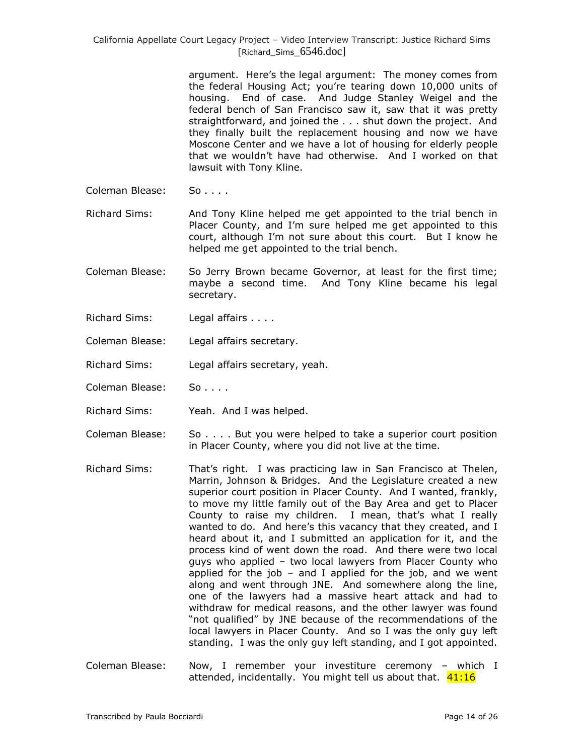> argument. Here's the legal argument: The money comes from the federal Housing Act; you're tearing down 10,000 units of housing. End of case. And Judge Stanley Weigel and the federal bench of San Francisco saw it, saw that it was pretty straightforward, and joined the . . . shut down the project. And they finally built the replacement housing and now we have Moscone Center and we have a lot of housing for elderly people that we wouldn't have had otherwise. And I worked on that lawsuit with Tony Kline.

Coleman Blease: So....

Richard Sims: And Tony Kline helped me get appointed to the trial bench in Placer County, and I'm sure helped me get appointed to this court, although I'm not sure about this court. But I know he helped me get appointed to the trial bench.

- Coleman Blease: So Jerry Brown became Governor, at least for the first time; maybe a second time. And Tony Kline became his legal secretary.
- Richard Sims: Legal affairs . . . .
- Coleman Blease: Legal affairs secretary.
- Richard Sims: Legal affairs secretary, yeah.
- Coleman Blease: So....
- Richard Sims: Yeah. And I was helped.
- Coleman Blease: So . . . . But you were helped to take a superior court position in Placer County, where you did not live at the time.
- Richard Sims: That's right. I was practicing law in San Francisco at Thelen, Marrin, Johnson & Bridges. And the Legislature created a new superior court position in Placer County. And I wanted, frankly, to move my little family out of the Bay Area and get to Placer County to raise my children. I mean, that's what I really wanted to do. And here's this vacancy that they created, and I heard about it, and I submitted an application for it, and the process kind of went down the road. And there were two local guys who applied – two local lawyers from Placer County who applied for the job  $-$  and I applied for the job, and we went along and went through JNE. And somewhere along the line, one of the lawyers had a massive heart attack and had to withdraw for medical reasons, and the other lawyer was found "not qualified" by JNE because of the recommendations of the local lawyers in Placer County. And so I was the only guy left standing. I was the only guy left standing, and I got appointed.
- Coleman Blease: Now, I remember your investiture ceremony which I attended, incidentally. You might tell us about that. 41:16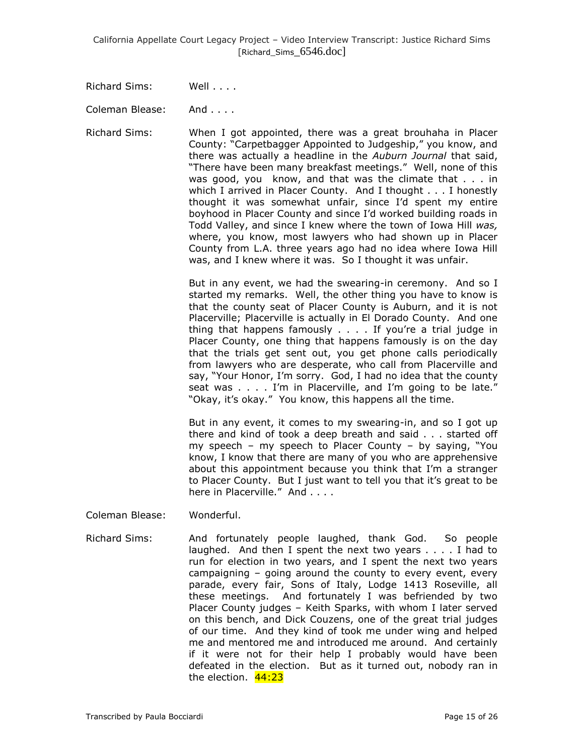Richard Sims: Well . . . .

Coleman Blease: And . . . .

Richard Sims: When I got appointed, there was a great brouhaha in Placer County: "Carpetbagger Appointed to Judgeship," you know, and there was actually a headline in the *Auburn Journal* that said, "There have been many breakfast meetings." Well, none of this was good, you know, and that was the climate that . . . in which I arrived in Placer County. And I thought . . . I honestly thought it was somewhat unfair, since I'd spent my entire boyhood in Placer County and since I'd worked building roads in Todd Valley, and since I knew where the town of Iowa Hill *was,* where, you know, most lawyers who had shown up in Placer County from L.A. three years ago had no idea where Iowa Hill was, and I knew where it was. So I thought it was unfair.

> But in any event, we had the swearing-in ceremony. And so I started my remarks. Well, the other thing you have to know is that the county seat of Placer County is Auburn, and it is not Placerville; Placerville is actually in El Dorado County. And one thing that happens famously . . . . If you're a trial judge in Placer County, one thing that happens famously is on the day that the trials get sent out, you get phone calls periodically from lawyers who are desperate, who call from Placerville and say, "Your Honor, I'm sorry. God, I had no idea that the county seat was . . . . I'm in Placerville, and I'm going to be late." "Okay, it's okay." You know, this happens all the time.

> But in any event, it comes to my swearing-in, and so I got up there and kind of took a deep breath and said . . . started off my speech – my speech to Placer County – by saying, "You know, I know that there are many of you who are apprehensive about this appointment because you think that I'm a stranger to Placer County. But I just want to tell you that it's great to be here in Placerville." And . . . .

Coleman Blease: Wonderful.

Richard Sims: And fortunately people laughed, thank God. So people laughed. And then I spent the next two years . . . . I had to run for election in two years, and I spent the next two years campaigning – going around the county to every event, every parade, every fair, Sons of Italy, Lodge 1413 Roseville, all these meetings. And fortunately I was befriended by two Placer County judges – Keith Sparks, with whom I later served on this bench, and Dick Couzens, one of the great trial judges of our time. And they kind of took me under wing and helped me and mentored me and introduced me around. And certainly if it were not for their help I probably would have been defeated in the election. But as it turned out, nobody ran in the election. 44:23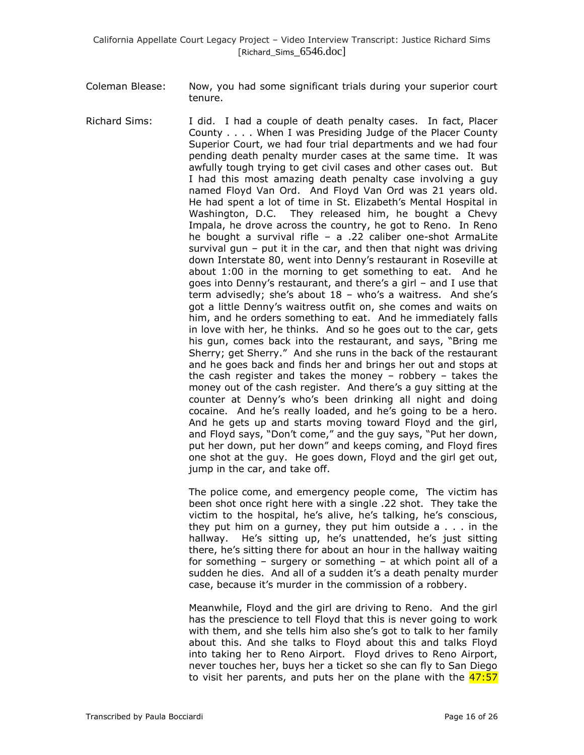- Coleman Blease: Now, you had some significant trials during your superior court tenure.
- Richard Sims: I did. I had a couple of death penalty cases. In fact, Placer County . . . . When I was Presiding Judge of the Placer County Superior Court, we had four trial departments and we had four pending death penalty murder cases at the same time. It was awfully tough trying to get civil cases and other cases out. But I had this most amazing death penalty case involving a guy named Floyd Van Ord. And Floyd Van Ord was 21 years old. He had spent a lot of time in St. Elizabeth's Mental Hospital in Washington, D.C. They released him, he bought a Chevy Impala, he drove across the country, he got to Reno. In Reno he bought a survival rifle – a .22 caliber one-shot ArmaLite survival gun – put it in the car, and then that night was driving down Interstate 80, went into Denny's restaurant in Roseville at about 1:00 in the morning to get something to eat. And he goes into Denny's restaurant, and there's a girl – and I use that term advisedly; she's about 18 – who's a waitress. And she's got a little Denny's waitress outfit on, she comes and waits on him, and he orders something to eat. And he immediately falls in love with her, he thinks. And so he goes out to the car, gets his gun, comes back into the restaurant, and says, "Bring me Sherry; get Sherry." And she runs in the back of the restaurant and he goes back and finds her and brings her out and stops at the cash register and takes the money – robbery – takes the money out of the cash register. And there's a guy sitting at the counter at Denny's who's been drinking all night and doing cocaine. And he's really loaded, and he's going to be a hero. And he gets up and starts moving toward Floyd and the girl, and Floyd says, "Don't come," and the guy says, "Put her down, put her down, put her down" and keeps coming, and Floyd fires one shot at the guy. He goes down, Floyd and the girl get out, jump in the car, and take off.

The police come, and emergency people come, The victim has been shot once right here with a single .22 shot. They take the victim to the hospital, he's alive, he's talking, he's conscious, they put him on a gurney, they put him outside a . . . in the hallway. He's sitting up, he's unattended, he's just sitting there, he's sitting there for about an hour in the hallway waiting for something – surgery or something – at which point all of a sudden he dies. And all of a sudden it's a death penalty murder case, because it's murder in the commission of a robbery.

Meanwhile, Floyd and the girl are driving to Reno. And the girl has the prescience to tell Floyd that this is never going to work with them, and she tells him also she's got to talk to her family about this. And she talks to Floyd about this and talks Floyd into taking her to Reno Airport. Floyd drives to Reno Airport, never touches her, buys her a ticket so she can fly to San Diego to visit her parents, and puts her on the plane with the 47:57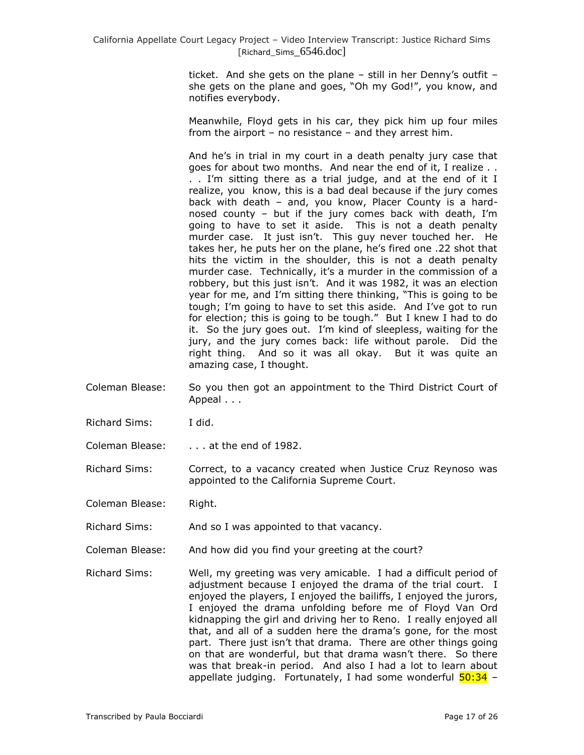ticket. And she gets on the plane – still in her Denny's outfit – she gets on the plane and goes, "Oh my God!", you know, and notifies everybody.

Meanwhile, Floyd gets in his car, they pick him up four miles from the airport – no resistance – and they arrest him.

And he's in trial in my court in a death penalty jury case that goes for about two months. And near the end of it, I realize . . . . I'm sitting there as a trial judge, and at the end of it I realize, you know, this is a bad deal because if the jury comes back with death – and, you know, Placer County is a hardnosed county – but if the jury comes back with death, I'm going to have to set it aside. This is not a death penalty murder case. It just isn't. This guy never touched her. He takes her, he puts her on the plane, he's fired one .22 shot that hits the victim in the shoulder, this is not a death penalty murder case. Technically, it's a murder in the commission of a robbery, but this just isn't. And it was 1982, it was an election year for me, and I'm sitting there thinking, "This is going to be tough; I'm going to have to set this aside. And I've got to run for election; this is going to be tough." But I knew I had to do it. So the jury goes out. I'm kind of sleepless, waiting for the jury, and the jury comes back: life without parole. Did the right thing. And so it was all okay. But it was quite an amazing case, I thought.

- Coleman Blease: So you then got an appointment to the Third District Court of Appeal . . .
- Richard Sims: I did.
- Coleman Blease: . . . . at the end of 1982.
- Richard Sims: Correct, to a vacancy created when Justice Cruz Reynoso was appointed to the California Supreme Court.

Coleman Blease: Right.

- Richard Sims: And so I was appointed to that vacancy.
- Coleman Blease: And how did you find your greeting at the court?
- Richard Sims: Well, my greeting was very amicable. I had a difficult period of adjustment because I enjoyed the drama of the trial court. I enjoyed the players, I enjoyed the bailiffs, I enjoyed the jurors, I enjoyed the drama unfolding before me of Floyd Van Ord kidnapping the girl and driving her to Reno. I really enjoyed all that, and all of a sudden here the drama's gone, for the most part. There just isn't that drama. There are other things going on that are wonderful, but that drama wasn't there. So there was that break-in period. And also I had a lot to learn about appellate judging. Fortunately, I had some wonderful  $\frac{50:34}{ }$  -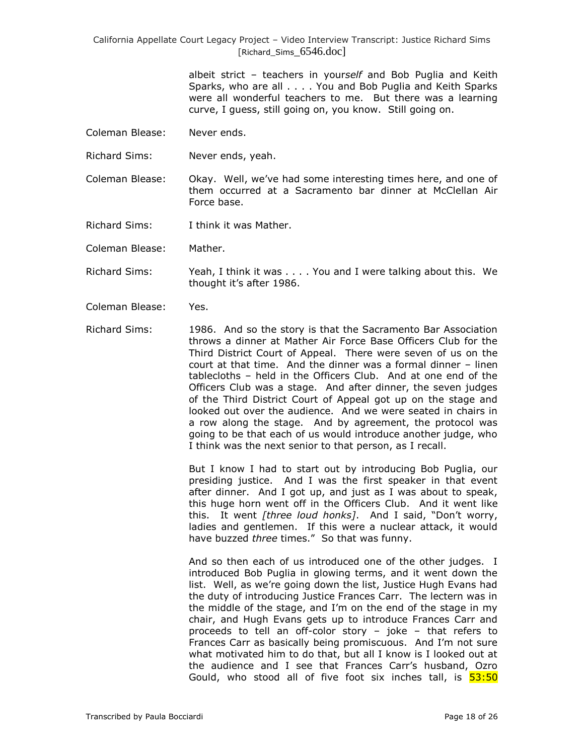> albeit strict – teachers in your*self* and Bob Puglia and Keith Sparks, who are all . . . . You and Bob Puglia and Keith Sparks were all wonderful teachers to me. But there was a learning curve, I guess, still going on, you know. Still going on.

- Coleman Blease: Never ends.
- Richard Sims: Never ends, yeah.
- Coleman Blease: Okay. Well, we've had some interesting times here, and one of them occurred at a Sacramento bar dinner at McClellan Air Force base.
- Richard Sims: I think it was Mather.

Coleman Blease: Mather.

- Richard Sims: Yeah, I think it was . . . . You and I were talking about this. We thought it's after 1986.
- Coleman Blease: Yes.
- Richard Sims: 1986. And so the story is that the Sacramento Bar Association throws a dinner at Mather Air Force Base Officers Club for the Third District Court of Appeal. There were seven of us on the court at that time. And the dinner was a formal dinner – linen tablecloths – held in the Officers Club. And at one end of the Officers Club was a stage. And after dinner, the seven judges of the Third District Court of Appeal got up on the stage and looked out over the audience. And we were seated in chairs in a row along the stage. And by agreement, the protocol was going to be that each of us would introduce another judge, who I think was the next senior to that person, as I recall.

But I know I had to start out by introducing Bob Puglia, our presiding justice. And I was the first speaker in that event after dinner. And I got up, and just as I was about to speak, this huge horn went off in the Officers Club. And it went like this. It went *[three loud honks]*. And I said, "Don't worry, ladies and gentlemen. If this were a nuclear attack, it would have buzzed *three* times." So that was funny.

And so then each of us introduced one of the other judges. I introduced Bob Puglia in glowing terms, and it went down the list. Well, as we're going down the list, Justice Hugh Evans had the duty of introducing Justice Frances Carr. The lectern was in the middle of the stage, and I'm on the end of the stage in my chair, and Hugh Evans gets up to introduce Frances Carr and proceeds to tell an off-color story – joke – that refers to Frances Carr as basically being promiscuous. And I'm not sure what motivated him to do that, but all I know is I looked out at the audience and I see that Frances Carr's husband, Ozro Gould, who stood all of five foot six inches tall, is  $\frac{53:50}{2}$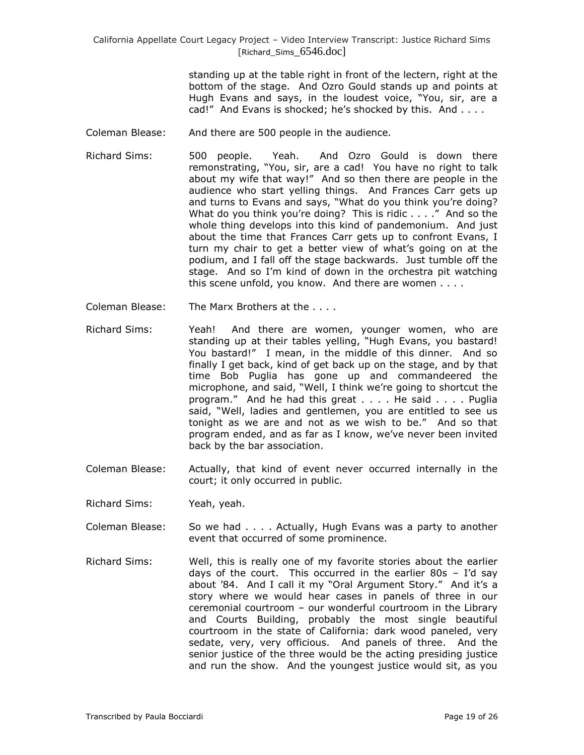> standing up at the table right in front of the lectern, right at the bottom of the stage. And Ozro Gould stands up and points at Hugh Evans and says, in the loudest voice, "You, sir, are a cad!" And Evans is shocked; he's shocked by this. And . . . .

- Coleman Blease: And there are 500 people in the audience.
- Richard Sims: 500 people. Yeah. And Ozro Gould is down there remonstrating, "You, sir, are a cad! You have no right to talk about my wife that way!" And so then there are people in the audience who start yelling things. And Frances Carr gets up and turns to Evans and says, "What do you think you're doing? What do you think you're doing? This is ridic . . . ." And so the whole thing develops into this kind of pandemonium. And just about the time that Frances Carr gets up to confront Evans, I turn my chair to get a better view of what's going on at the podium, and I fall off the stage backwards. Just tumble off the stage. And so I'm kind of down in the orchestra pit watching this scene unfold, you know. And there are women . . . .
- Coleman Blease: The Marx Brothers at the . . . .
- Richard Sims: Yeah! And there are women, younger women, who are standing up at their tables yelling, "Hugh Evans, you bastard! You bastard!" I mean, in the middle of this dinner. And so finally I get back, kind of get back up on the stage, and by that time Bob Puglia has gone up and commandeered the microphone, and said, "Well, I think we're going to shortcut the program." And he had this great . . . . He said . . . . Puglia said, "Well, ladies and gentlemen, you are entitled to see us tonight as we are and not as we wish to be." And so that program ended, and as far as I know, we've never been invited back by the bar association.
- Coleman Blease: Actually, that kind of event never occurred internally in the court; it only occurred in public.
- Richard Sims: Yeah, yeah.
- Coleman Blease: So we had . . . . Actually, Hugh Evans was a party to another event that occurred of some prominence.
- Richard Sims: Well, this is really one of my favorite stories about the earlier days of the court. This occurred in the earlier 80s – I'd say about '84. And I call it my "Oral Argument Story." And it's a story where we would hear cases in panels of three in our ceremonial courtroom – our wonderful courtroom in the Library and Courts Building, probably the most single beautiful courtroom in the state of California: dark wood paneled, very sedate, very, very officious. And panels of three. And the senior justice of the three would be the acting presiding justice and run the show. And the youngest justice would sit, as you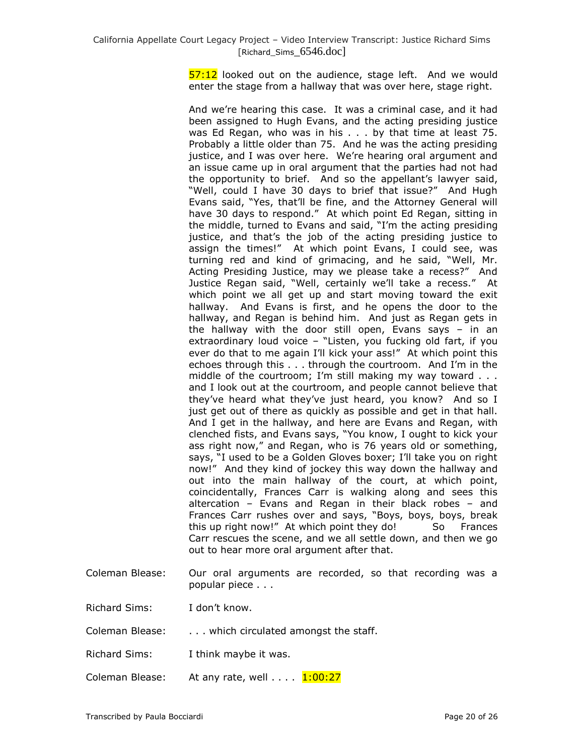57:12 looked out on the audience, stage left. And we would enter the stage from a hallway that was over here, stage right.

And we're hearing this case. It was a criminal case, and it had been assigned to Hugh Evans, and the acting presiding justice was Ed Regan, who was in his . . . by that time at least 75. Probably a little older than 75. And he was the acting presiding justice, and I was over here. We're hearing oral argument and an issue came up in oral argument that the parties had not had the opportunity to brief. And so the appellant's lawyer said, "Well, could I have 30 days to brief that issue?" And Hugh Evans said, "Yes, that'll be fine, and the Attorney General will have 30 days to respond." At which point Ed Regan, sitting in the middle, turned to Evans and said, "I'm the acting presiding justice, and that's the job of the acting presiding justice to assign the times!" At which point Evans, I could see, was turning red and kind of grimacing, and he said, "Well, Mr. Acting Presiding Justice, may we please take a recess?" And Justice Regan said, "Well, certainly we'll take a recess." At which point we all get up and start moving toward the exit hallway. And Evans is first, and he opens the door to the hallway, and Regan is behind him. And just as Regan gets in the hallway with the door still open, Evans says – in an extraordinary loud voice – "Listen, you fucking old fart, if you ever do that to me again I'll kick your ass!" At which point this echoes through this . . . through the courtroom. And I'm in the middle of the courtroom; I'm still making my way toward . . . and I look out at the courtroom, and people cannot believe that they've heard what they've just heard, you know? And so I just get out of there as quickly as possible and get in that hall. And I get in the hallway, and here are Evans and Regan, with clenched fists, and Evans says, "You know, I ought to kick your ass right now," and Regan, who is 76 years old or something, says, "I used to be a Golden Gloves boxer; I'll take you on right now!" And they kind of jockey this way down the hallway and out into the main hallway of the court, at which point, coincidentally, Frances Carr is walking along and sees this altercation – Evans and Regan in their black robes – and Frances Carr rushes over and says, "Boys, boys, boys, break this up right now!" At which point they do! So Frances Carr rescues the scene, and we all settle down, and then we go out to hear more oral argument after that.

Coleman Blease: Our oral arguments are recorded, so that recording was a popular piece . . .

Richard Sims: I don't know.

Coleman Blease: . . . which circulated amongst the staff.

- Richard Sims: I think maybe it was.
- Coleman Blease: At any rate, well  $\dots$   $\frac{1:00:27}{1:00:27}$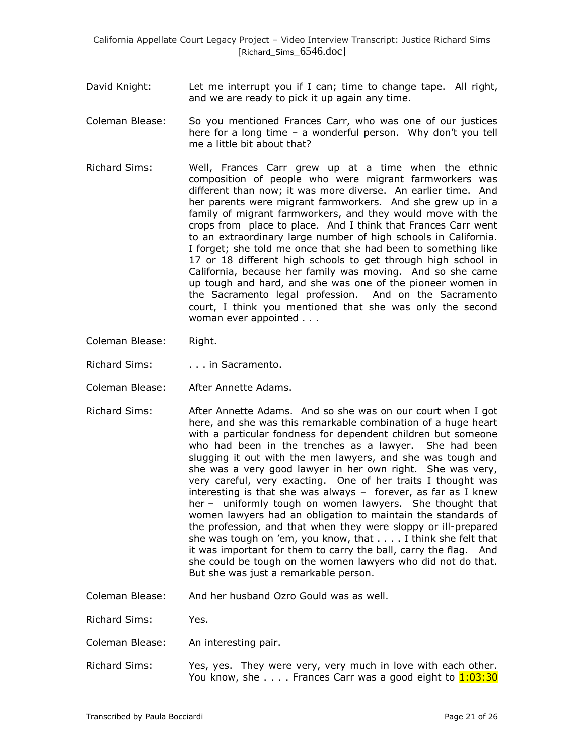- David Knight: Let me interrupt you if I can; time to change tape. All right, and we are ready to pick it up again any time.
- Coleman Blease: So you mentioned Frances Carr, who was one of our justices here for a long time – a wonderful person. Why don't you tell me a little bit about that?
- Richard Sims: Well, Frances Carr grew up at a time when the ethnic composition of people who were migrant farmworkers was different than now; it was more diverse. An earlier time. And her parents were migrant farmworkers. And she grew up in a family of migrant farmworkers, and they would move with the crops from place to place. And I think that Frances Carr went to an extraordinary large number of high schools in California. I forget; she told me once that she had been to something like 17 or 18 different high schools to get through high school in California, because her family was moving. And so she came up tough and hard, and she was one of the pioneer women in the Sacramento legal profession. And on the Sacramento court, I think you mentioned that she was only the second woman ever appointed . . .
- Coleman Blease: Right.
- Richard Sims: . . . . . in Sacramento.
- Coleman Blease: After Annette Adams.
- Richard Sims: After Annette Adams. And so she was on our court when I got here, and she was this remarkable combination of a huge heart with a particular fondness for dependent children but someone who had been in the trenches as a lawyer. She had been slugging it out with the men lawyers, and she was tough and she was a very good lawyer in her own right. She was very, very careful, very exacting. One of her traits I thought was interesting is that she was always – forever, as far as I knew her – uniformly tough on women lawyers. She thought that women lawyers had an obligation to maintain the standards of the profession, and that when they were sloppy or ill-prepared she was tough on 'em, you know, that . . . . I think she felt that it was important for them to carry the ball, carry the flag. And she could be tough on the women lawyers who did not do that. But she was just a remarkable person.
- Coleman Blease: And her husband Ozro Gould was as well.

Richard Sims: Yes.

- Coleman Blease: An interesting pair.
- Richard Sims: Yes, yes. They were very, very much in love with each other. You know, she  $\dots$ . Frances Carr was a good eight to  $1:03:30$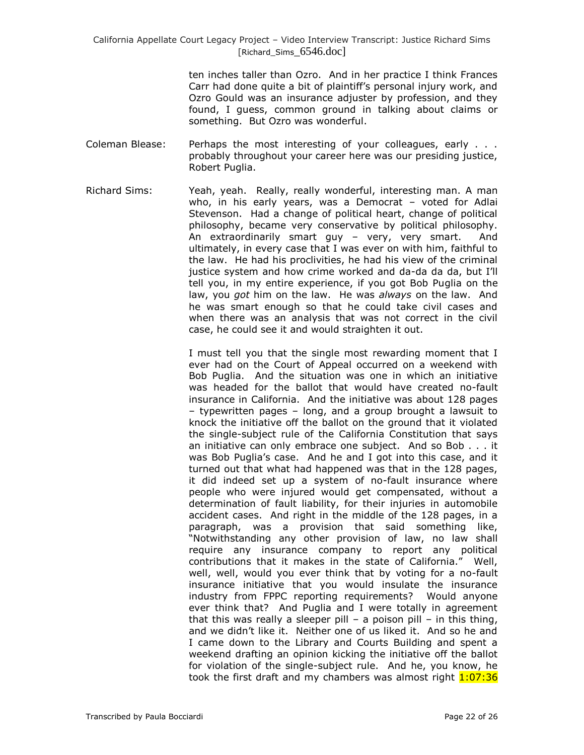> ten inches taller than Ozro. And in her practice I think Frances Carr had done quite a bit of plaintiff's personal injury work, and Ozro Gould was an insurance adjuster by profession, and they found, I guess, common ground in talking about claims or something. But Ozro was wonderful.

- Coleman Blease: Perhaps the most interesting of your colleagues, early . . . probably throughout your career here was our presiding justice, Robert Puglia.
- Richard Sims: Yeah, yeah. Really, really wonderful, interesting man. A man who, in his early years, was a Democrat – voted for Adlai Stevenson. Had a change of political heart, change of political philosophy, became very conservative by political philosophy. An extraordinarily smart guy – very, very smart. And ultimately, in every case that I was ever on with him, faithful to the law. He had his proclivities, he had his view of the criminal justice system and how crime worked and da-da da da, but I'll tell you, in my entire experience, if you got Bob Puglia on the law, you *got* him on the law. He was *always* on the law. And he was smart enough so that he could take civil cases and when there was an analysis that was not correct in the civil case, he could see it and would straighten it out.

I must tell you that the single most rewarding moment that I ever had on the Court of Appeal occurred on a weekend with Bob Puglia. And the situation was one in which an initiative was headed for the ballot that would have created no-fault insurance in California. And the initiative was about 128 pages – typewritten pages – long, and a group brought a lawsuit to knock the initiative off the ballot on the ground that it violated the single-subject rule of the California Constitution that says an initiative can only embrace one subject. And so Bob . . . it was Bob Puglia's case. And he and I got into this case, and it turned out that what had happened was that in the 128 pages, it did indeed set up a system of no-fault insurance where people who were injured would get compensated, without a determination of fault liability, for their injuries in automobile accident cases. And right in the middle of the 128 pages, in a paragraph, was a provision that said something like, "Notwithstanding any other provision of law, no law shall require any insurance company to report any political contributions that it makes in the state of California." Well, well, well, would you ever think that by voting for a no-fault insurance initiative that you would insulate the insurance industry from FPPC reporting requirements? Would anyone ever think that? And Puglia and I were totally in agreement that this was really a sleeper pill  $-$  a poison pill  $-$  in this thing, and we didn't like it. Neither one of us liked it. And so he and I came down to the Library and Courts Building and spent a weekend drafting an opinion kicking the initiative off the ballot for violation of the single-subject rule. And he, you know, he took the first draft and my chambers was almost right 1:07:36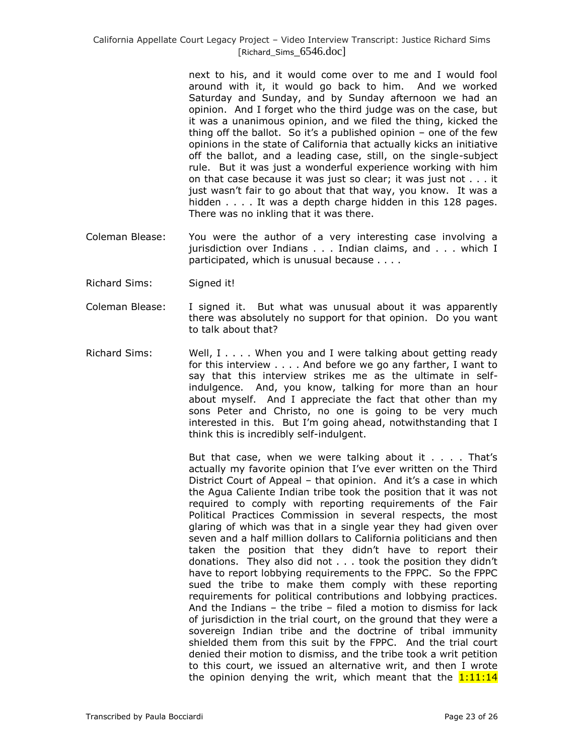next to his, and it would come over to me and I would fool around with it, it would go back to him. And we worked Saturday and Sunday, and by Sunday afternoon we had an opinion. And I forget who the third judge was on the case, but it was a unanimous opinion, and we filed the thing, kicked the thing off the ballot. So it's a published opinion  $-$  one of the few opinions in the state of California that actually kicks an initiative off the ballot, and a leading case, still, on the single-subject rule. But it was just a wonderful experience working with him on that case because it was just so clear; it was just not . . . it just wasn't fair to go about that that way, you know. It was a hidden . . . . It was a depth charge hidden in this 128 pages. There was no inkling that it was there.

- Coleman Blease: You were the author of a very interesting case involving a jurisdiction over Indians . . . Indian claims, and . . . which I participated, which is unusual because . . . .
- Richard Sims: Signed it!
- Coleman Blease: I signed it. But what was unusual about it was apparently there was absolutely no support for that opinion. Do you want to talk about that?
- Richard Sims: Well, I . . . . When you and I were talking about getting ready for this interview . . . . And before we go any farther, I want to say that this interview strikes me as the ultimate in selfindulgence. And, you know, talking for more than an hour about myself. And I appreciate the fact that other than my sons Peter and Christo, no one is going to be very much interested in this. But I'm going ahead, notwithstanding that I think this is incredibly self-indulgent.

But that case, when we were talking about it . . . . That's actually my favorite opinion that I've ever written on the Third District Court of Appeal – that opinion. And it's a case in which the Agua Caliente Indian tribe took the position that it was not required to comply with reporting requirements of the Fair Political Practices Commission in several respects, the most glaring of which was that in a single year they had given over seven and a half million dollars to California politicians and then taken the position that they didn't have to report their donations. They also did not . . . took the position they didn't have to report lobbying requirements to the FPPC. So the FPPC sued the tribe to make them comply with these reporting requirements for political contributions and lobbying practices. And the Indians – the tribe – filed a motion to dismiss for lack of jurisdiction in the trial court, on the ground that they were a sovereign Indian tribe and the doctrine of tribal immunity shielded them from this suit by the FPPC. And the trial court denied their motion to dismiss, and the tribe took a writ petition to this court, we issued an alternative writ, and then I wrote the opinion denying the writ, which meant that the  $1:11:14$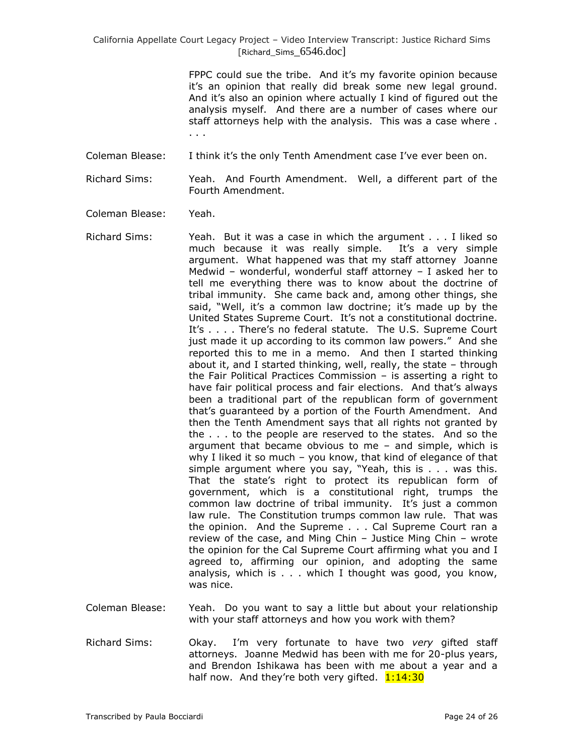> FPPC could sue the tribe. And it's my favorite opinion because it's an opinion that really did break some new legal ground. And it's also an opinion where actually I kind of figured out the analysis myself. And there are a number of cases where our staff attorneys help with the analysis. This was a case where . . . .

Coleman Blease: I think it's the only Tenth Amendment case I've ever been on.

Richard Sims: Yeah. And Fourth Amendment. Well, a different part of the Fourth Amendment.

Coleman Blease: Yeah.

- Richard Sims: Yeah. But it was a case in which the argument . . . I liked so much because it was really simple. It's a very simple argument. What happened was that my staff attorney Joanne Medwid – wonderful, wonderful staff attorney – I asked her to tell me everything there was to know about the doctrine of tribal immunity. She came back and, among other things, she said, "Well, it's a common law doctrine; it's made up by the United States Supreme Court. It's not a constitutional doctrine. It's . . . . There's no federal statute. The U.S. Supreme Court just made it up according to its common law powers." And she reported this to me in a memo. And then I started thinking about it, and I started thinking, well, really, the state – through the Fair Political Practices Commission – is asserting a right to have fair political process and fair elections. And that's always been a traditional part of the republican form of government that's guaranteed by a portion of the Fourth Amendment. And then the Tenth Amendment says that all rights not granted by the . . . to the people are reserved to the states. And so the argument that became obvious to me – and simple, which is why I liked it so much – you know, that kind of elegance of that simple argument where you say, "Yeah, this is  $\ldots$  was this. That the state's right to protect its republican form of government, which is a constitutional right, trumps the common law doctrine of tribal immunity. It's just a common law rule. The Constitution trumps common law rule. That was the opinion. And the Supreme . . . Cal Supreme Court ran a review of the case, and Ming Chin – Justice Ming Chin – wrote the opinion for the Cal Supreme Court affirming what you and I agreed to, affirming our opinion, and adopting the same analysis, which is . . . which I thought was good, you know, was nice.
- Coleman Blease: Yeah. Do you want to say a little but about your relationship with your staff attorneys and how you work with them?
- Richard Sims: Okay. I'm very fortunate to have two *very* gifted staff attorneys. Joanne Medwid has been with me for 20-plus years, and Brendon Ishikawa has been with me about a year and a half now. And they're both very gifted.  $1:14:30$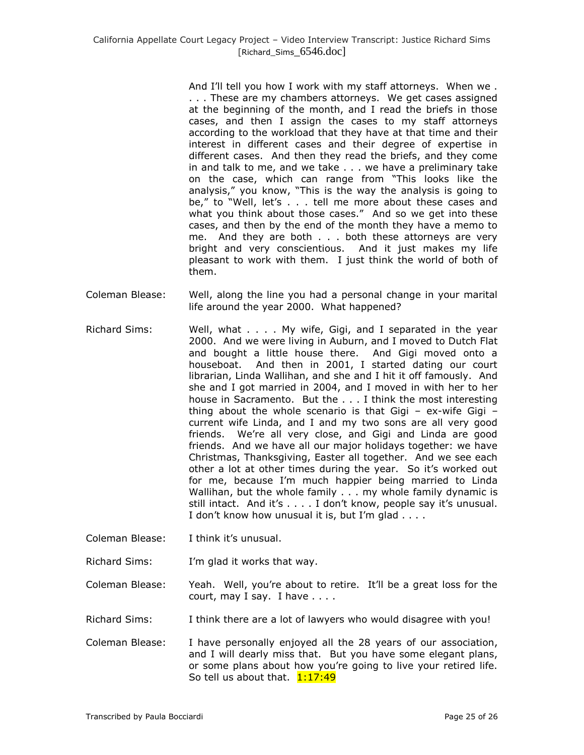And I'll tell you how I work with my staff attorneys. When we . . . . These are my chambers attorneys. We get cases assigned at the beginning of the month, and I read the briefs in those cases, and then I assign the cases to my staff attorneys according to the workload that they have at that time and their interest in different cases and their degree of expertise in different cases. And then they read the briefs, and they come in and talk to me, and we take . . . we have a preliminary take on the case, which can range from "This looks like the analysis," you know, "This is the way the analysis is going to be," to "Well, let's . . . tell me more about these cases and what you think about those cases." And so we get into these cases, and then by the end of the month they have a memo to me. And they are both . . . both these attorneys are very bright and very conscientious. And it just makes my life pleasant to work with them. I just think the world of both of them.

- Coleman Blease: Well, along the line you had a personal change in your marital life around the year 2000. What happened?
- Richard Sims: Well, what . . . . My wife, Gigi, and I separated in the year 2000. And we were living in Auburn, and I moved to Dutch Flat and bought a little house there. And Gigi moved onto a houseboat. And then in 2001, I started dating our court librarian, Linda Wallihan, and she and I hit it off famously. And she and I got married in 2004, and I moved in with her to her house in Sacramento. But the . . . I think the most interesting thing about the whole scenario is that Gigi  $-$  ex-wife Gigi  $$ current wife Linda, and I and my two sons are all very good friends. We're all very close, and Gigi and Linda are good friends. And we have all our major holidays together: we have Christmas, Thanksgiving, Easter all together. And we see each other a lot at other times during the year. So it's worked out for me, because I'm much happier being married to Linda Wallihan, but the whole family . . . my whole family dynamic is still intact. And it's . . . . I don't know, people say it's unusual. I don't know how unusual it is, but I'm glad . . . .
- Coleman Blease: I think it's unusual.
- Richard Sims: I'm glad it works that way.

Coleman Blease: Yeah. Well, you're about to retire. It'll be a great loss for the court, may I say. I have . . . .

- Richard Sims: I think there are a lot of lawyers who would disagree with you!
- Coleman Blease: I have personally enjoyed all the 28 years of our association, and I will dearly miss that. But you have some elegant plans, or some plans about how you're going to live your retired life. So tell us about that.  $1:17:49$